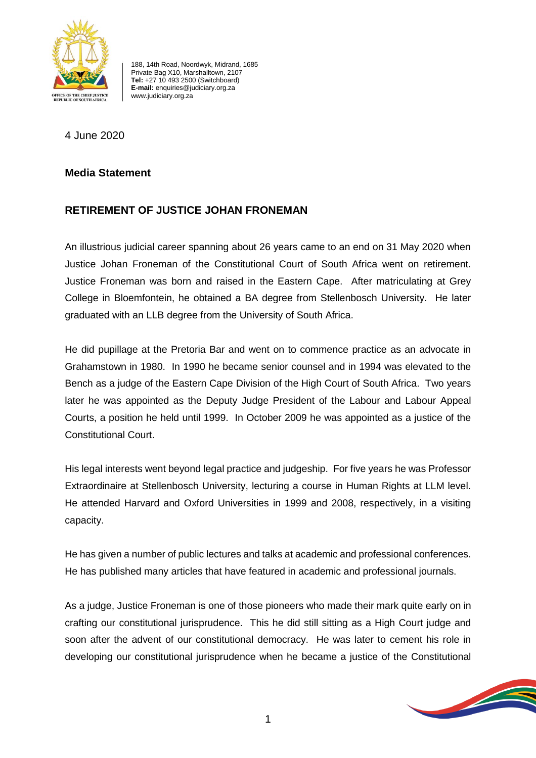

188, 14th Road, Noordwyk, Midrand, 1685 Private Bag X10, Marshalltown, 2107 **Tel:** +27 10 493 2500 (Switchboard) **E-mail:** enquiries@judiciary.org.za www.judiciary.org.za

4 June 2020

## **Media Statement**

## **RETIREMENT OF JUSTICE JOHAN FRONEMAN**

An illustrious judicial career spanning about 26 years came to an end on 31 May 2020 when Justice Johan Froneman of the Constitutional Court of South Africa went on retirement. Justice Froneman was born and raised in the Eastern Cape. After matriculating at Grey College in Bloemfontein, he obtained a BA degree from Stellenbosch University. He later graduated with an LLB degree from the University of South Africa.

He did pupillage at the Pretoria Bar and went on to commence practice as an advocate in Grahamstown in 1980. In 1990 he became senior counsel and in 1994 was elevated to the Bench as a judge of the Eastern Cape Division of the High Court of South Africa. Two years later he was appointed as the Deputy Judge President of the Labour and Labour Appeal Courts, a position he held until 1999. In October 2009 he was appointed as a justice of the Constitutional Court.

His legal interests went beyond legal practice and judgeship. For five years he was Professor Extraordinaire at Stellenbosch University, lecturing a course in Human Rights at LLM level. He attended Harvard and Oxford Universities in 1999 and 2008, respectively, in a visiting capacity.

He has given a number of public lectures and talks at academic and professional conferences. He has published many articles that have featured in academic and professional journals.

As a judge, Justice Froneman is one of those pioneers who made their mark quite early on in crafting our constitutional jurisprudence. This he did still sitting as a High Court judge and soon after the advent of our constitutional democracy. He was later to cement his role in developing our constitutional jurisprudence when he became a justice of the Constitutional